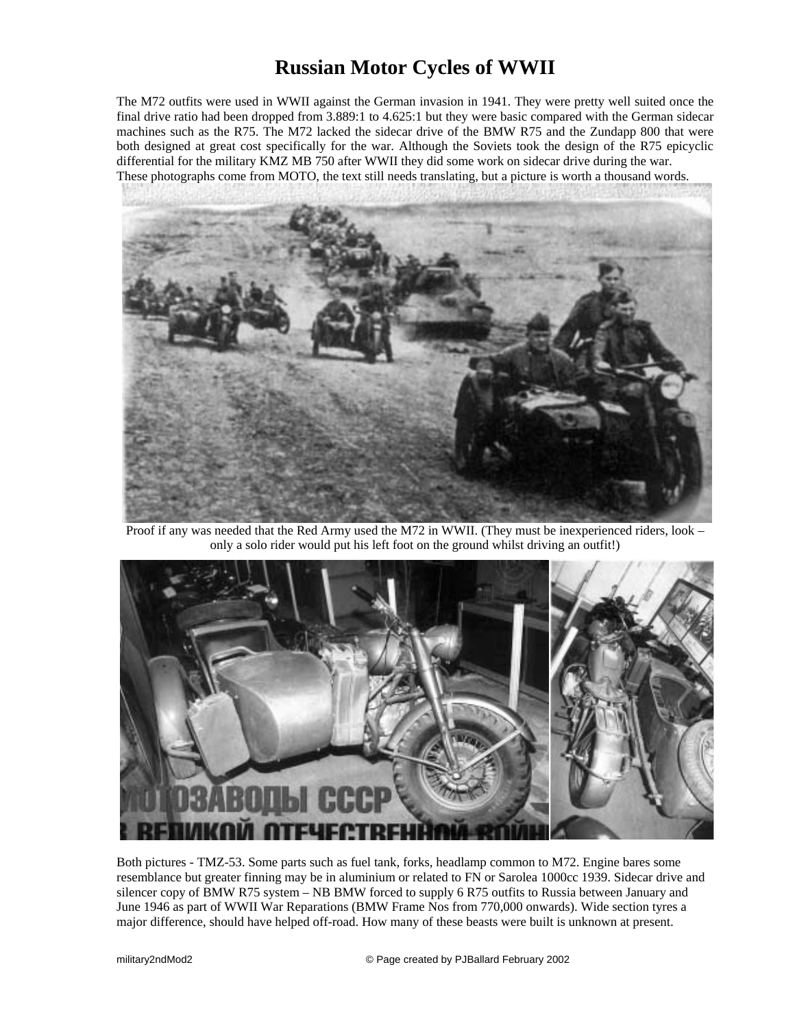## **Russian Motor Cycles of WWII**

The M72 outfits were used in WWII against the German invasion in 1941. They were pretty well suited once the final drive ratio had been dropped from 3.889:1 to 4.625:1 but they were basic compared with the German sidecar machines such as the R75. The M72 lacked the sidecar drive of the BMW R75 and the Zundapp 800 that were both designed at great cost specifically for the war. Although the Soviets took the design of the R75 epicyclic differential for the military KMZ MB 750 after WWII they did some work on sidecar drive during the war. These photographs come from MOTO, the text still needs translating, but a picture is worth a thousand words.



Proof if any was needed that the Red Army used the M72 in WWII. (They must be inexperienced riders, look – only a solo rider would put his left foot on the ground whilst driving an outfit!)



Both pictures - TMZ-53. Some parts such as fuel tank, forks, headlamp common to M72. Engine bares some resemblance but greater finning may be in aluminium or related to FN or Sarolea 1000cc 1939. Sidecar drive and silencer copy of BMW R75 system – NB BMW forced to supply 6 R75 outfits to Russia between January and June 1946 as part of WWII War Reparations (BMW Frame Nos from 770,000 onwards). Wide section tyres a major difference, should have helped off-road. How many of these beasts were built is unknown at present.